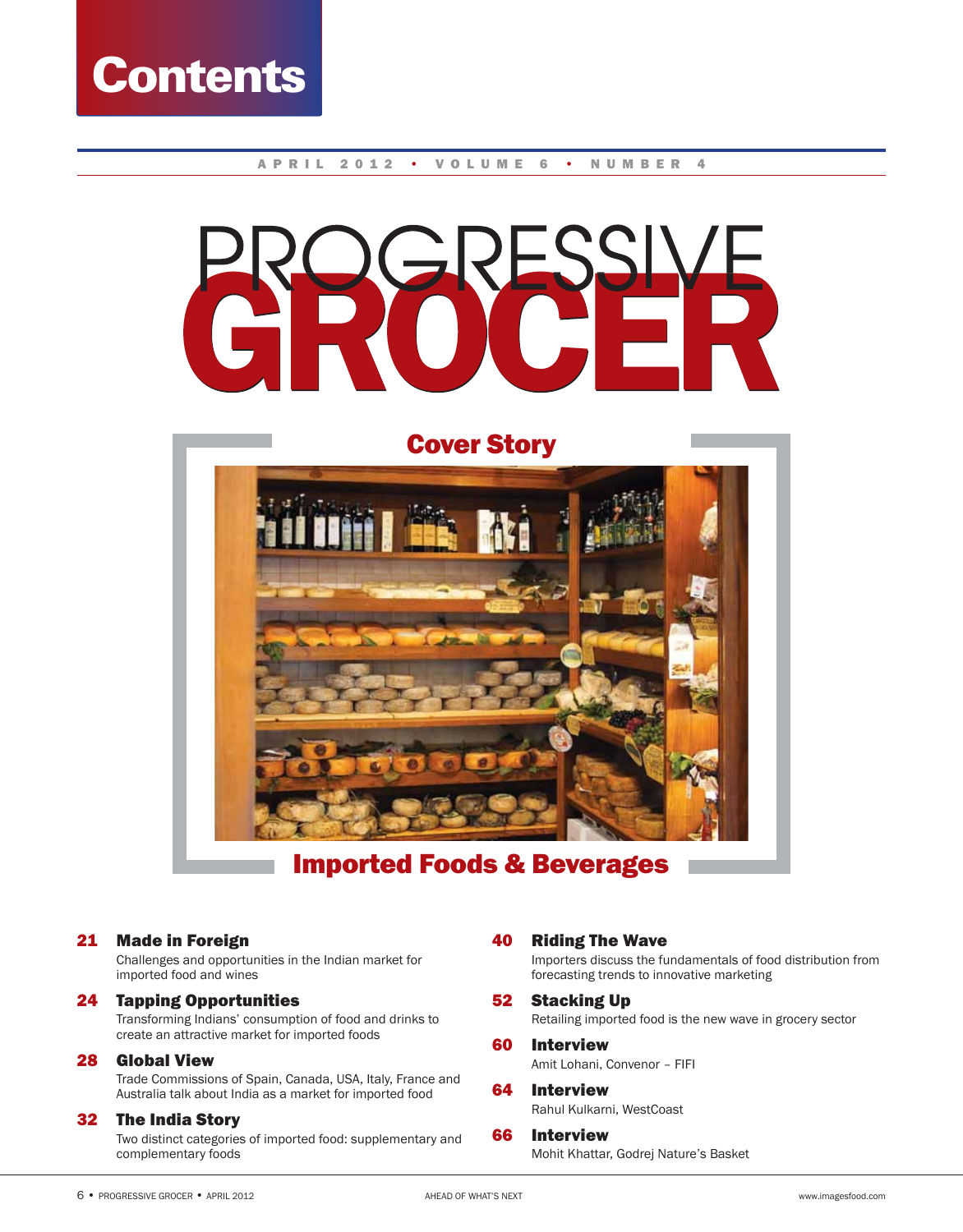

#### APRIL 2012 • VOLUME 6 • NUMBER 4





# Imported Foods & Beverages

21 Made in Foreign

 Challenges and opportunities in the Indian market for imported food and wines

# 24 Tapping Opportunities

 Transforming Indians' consumption of food and drinks to create an attractive market for imported foods

# 28 Global View

 Trade Commissions of Spain, Canada, USA, Italy, France and Australia talk about India as a market for imported food

#### 32 The India Story

 Two distinct categories of imported food: supplementary and complementary foods

# 40 Riding The Wave

 Importers discuss the fundamentals of food distribution from forecasting trends to innovative marketing

#### 52 Stacking Up

Retailing imported food is the new wave in grocery sector

#### 60 Interview Amit Lohani, Convenor – FIFI

# 64 Interview

Rahul Kulkarni, WestCoast

66 Interview Mohit Khattar, Godrej Nature's Basket